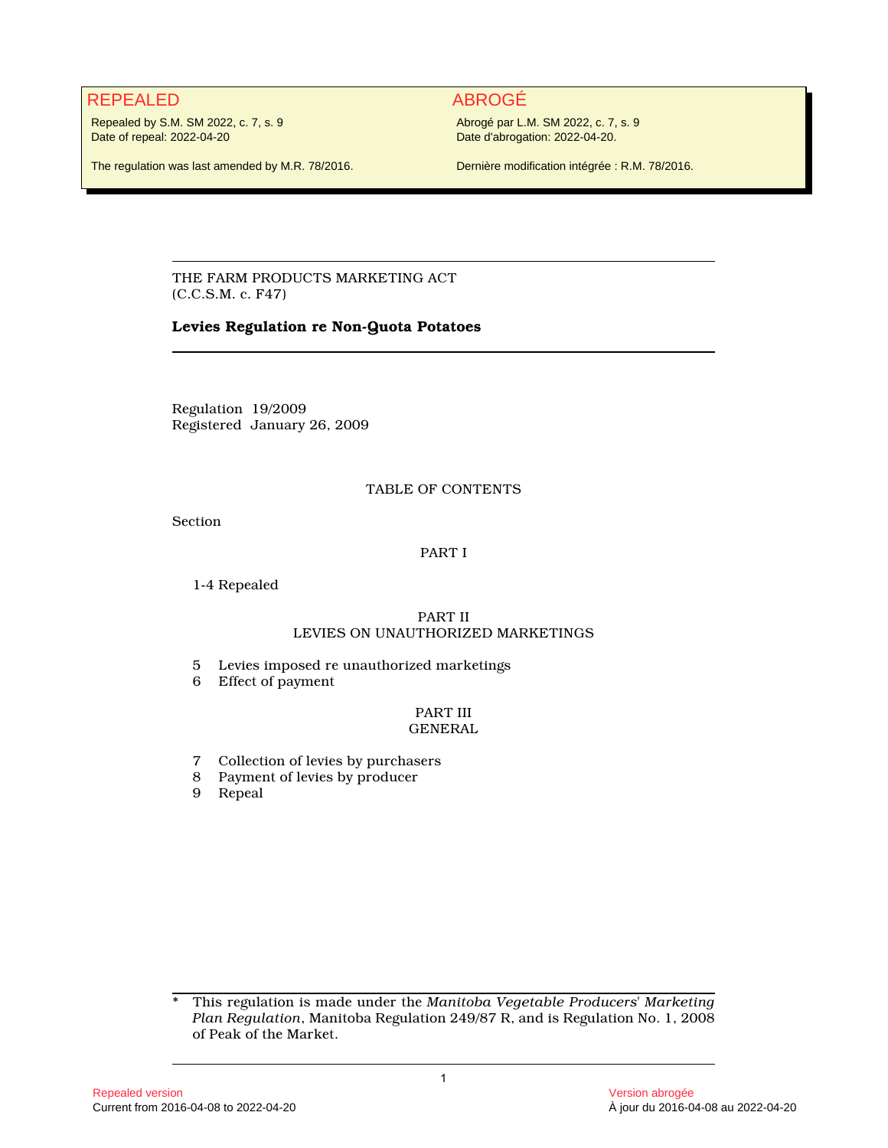# REPEALED ABROGÉ

Repealed by S.M. SM 2022, c. 7, s. 9 Date of repeal: 2022-04-20

Abrogé par L.M. SM 2022, c. 7, s. 9 Date d'abrogation: 2022-04-20.

The regulation was last amended by M.R. 78/2016.

Dernière modification intégrée : R.M. 78/2016.

THE FARM PRODUCTS MARKETING ACT (C.C.S.M. c. F47)

# **Levies Regulation re Non-Quota Potatoes**

Regulation 19/2009 Registered January 26, 2009

# TABLE OF CONTENTS

Section

# PART I

1-4 Repealed

# PART II LEVIES ON UNAUTHORIZED MARKETINGS

- 5 Levies imposed re unauthorized marketings
- 6 Effect of payment

# PART III GENERAL

- 7 Collection of levies by purchasers
- 8 Payment of levies by producer
- 9 Repeal

\* This regulation is made under the *Manitoba Vegetable Producers' Marketing Plan Regulation*, Manitoba Regulation 249/87 R, and is Regulation No. 1, 2008 of Peak of the Market.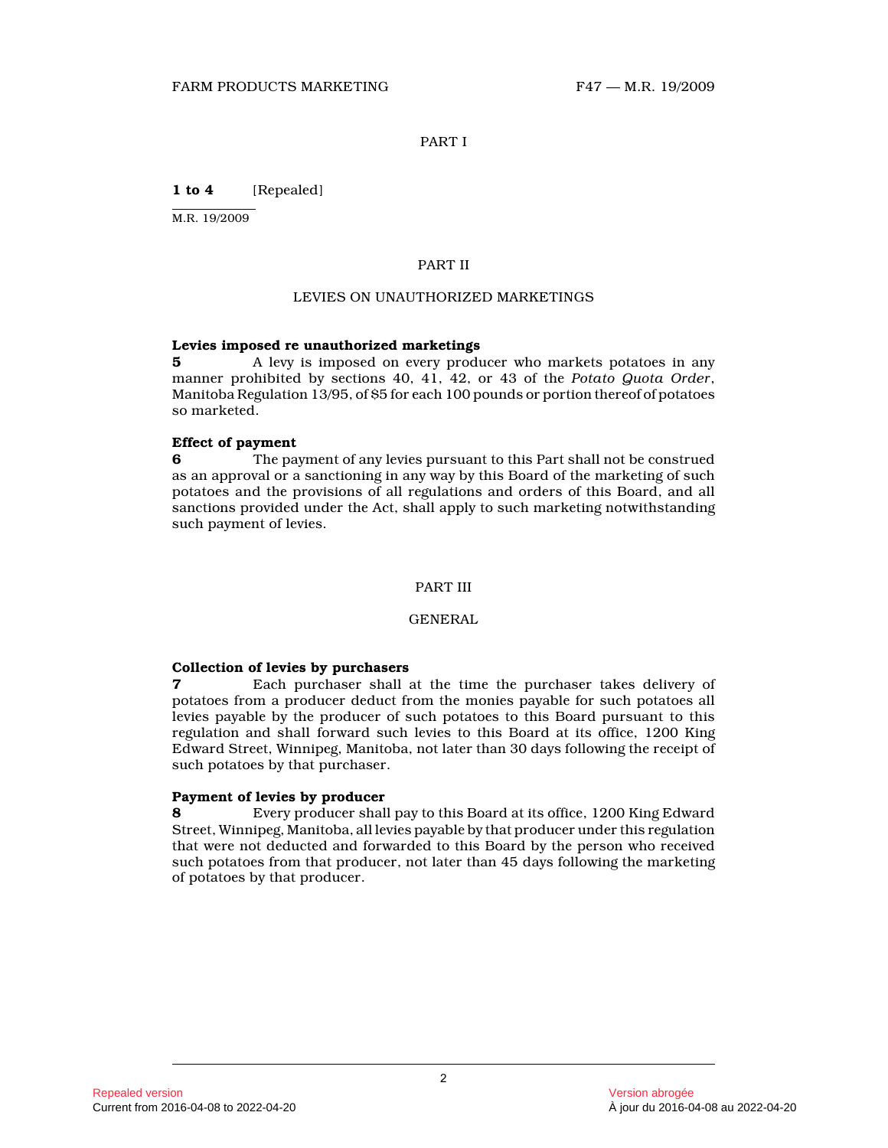# PART I

**1 to 4** [Repealed]

M.R. 19/2009

#### PART II

#### LEVIES ON UNAUTHORIZED MARKETINGS

# **Levies imposed re unauthorized marketings**

**5** A levy is imposed on every producer who markets potatoes in any manner prohibited by sections 40, 41, 42, or 43 of the *Potato Quota Order* , Manitoba Regulation 13/95, of \$5 for each 100 pounds or portion thereof of potatoes so marketed.

#### **Effect of payment**

**6** The payment of any levies pursuant to this Part shall not be construed as an approval or a sanctioning in any way by this Board of the marketing of such potatoes and the provisions of all regulations and orders of this Board, and all sanctions provided under the Act, shall apply to such marketing notwithstanding such payment of levies.

# PART III

#### GENERAL

#### **Collection of levies by purchasers**

**7** Each purchaser shall at the time the purchaser takes delivery of potatoes from a producer deduct from the monies payable for such potatoes all levies payable by the producer of such potatoes to this Board pursuant to this regulation and shall forward such levies to this Board at its office, 1200 King Edward Street, Winnipeg, Manitoba, not later than 30 days following the receipt of such potatoes by that purchaser.

# **Payment of levies by producer**

**8** Every producer shall pay to this Board at its office, 1200 King Edward Street, Winnipeg, Manitoba, all levies payable by that producer under this regulation that were not deducted and forwarded to this Board by the person who received such potatoes from that producer, not later than 45 days following the marketing of potatoes by that producer.